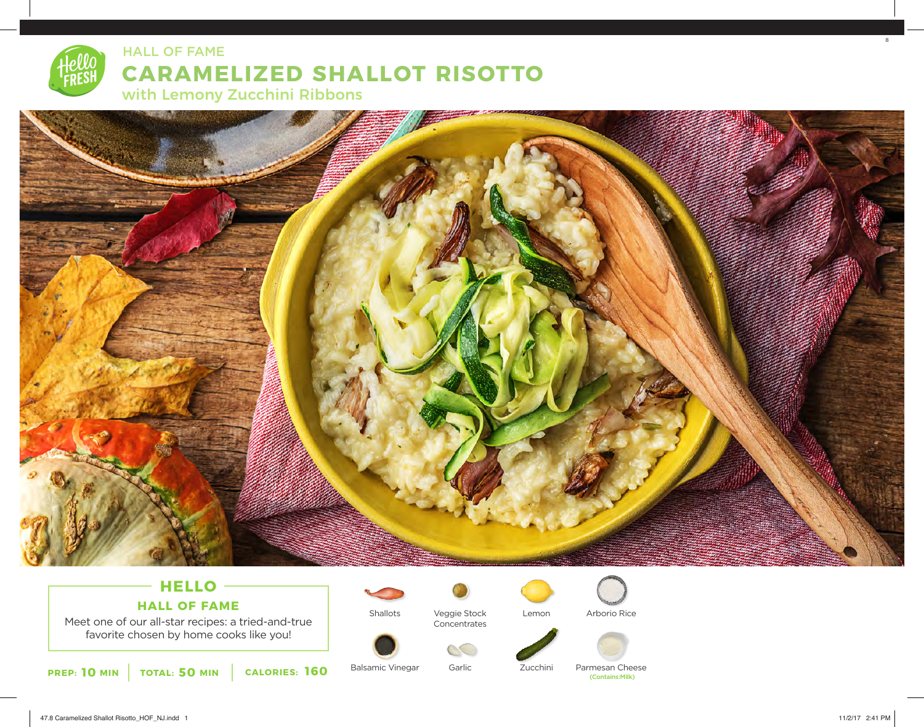

# **CARAMELIZED SHALLOT RISOTTO**  HALL OF FAME

with Lemony Zucchini Ribbons



## **HELLO HALL OF FAME**

Meet one of our all-star recipes: a tried-and-true favorite chosen by home cooks like you!

**10 50 160 PREP: MIN TOTAL: MIN CALORIES:**



Shallots

Balsamic Vinegar

Veggie Stock Concentrates

Garlic

 $\infty$ 



Zucchini

Arborio Rice



Parmesan Cheese (Contains:Milk)

8